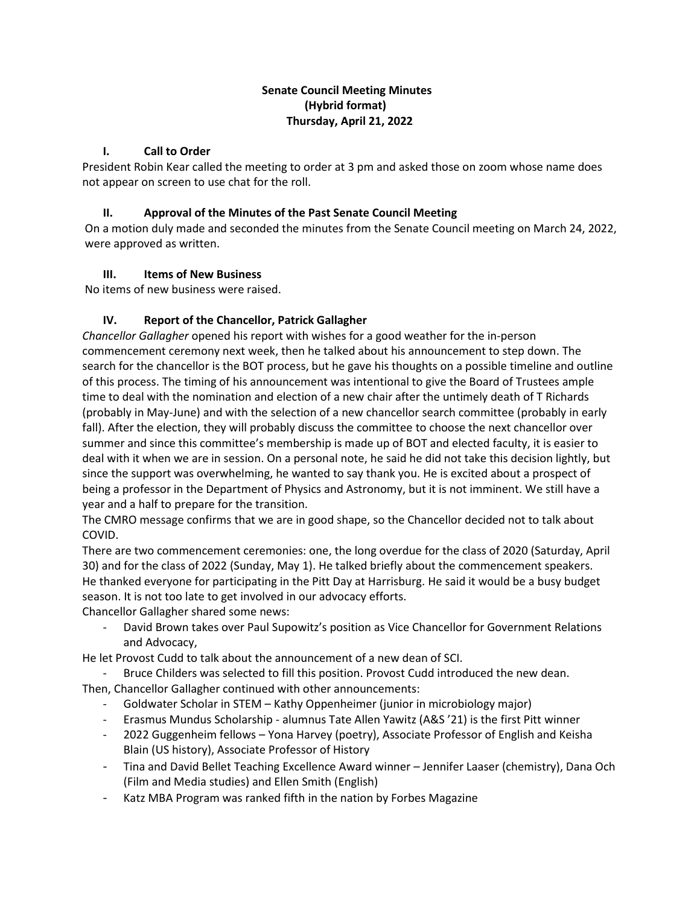# **Senate Council Meeting Minutes (Hybrid format) Thursday, April 21, 2022**

#### **I. Call to Order**

President Robin Kear called the meeting to order at 3 pm and asked those on zoom whose name does not appear on screen to use chat for the roll.

### **II. Approval of the Minutes of the Past Senate Council Meeting**

On a motion duly made and seconded the minutes from the Senate Council meeting on March 24, 2022, were approved as written.

#### **III. Items of New Business**

No items of new business were raised.

# **IV. Report of the Chancellor, Patrick Gallagher**

*Chancellor Gallagher* opened his report with wishes for a good weather for the in-person commencement ceremony next week, then he talked about his announcement to step down. The search for the chancellor is the BOT process, but he gave his thoughts on a possible timeline and outline of this process. The timing of his announcement was intentional to give the Board of Trustees ample time to deal with the nomination and election of a new chair after the untimely death of T Richards (probably in May-June) and with the selection of a new chancellor search committee (probably in early fall). After the election, they will probably discuss the committee to choose the next chancellor over summer and since this committee's membership is made up of BOT and elected faculty, it is easier to deal with it when we are in session. On a personal note, he said he did not take this decision lightly, but since the support was overwhelming, he wanted to say thank you. He is excited about a prospect of being a professor in the Department of Physics and Astronomy, but it is not imminent. We still have a year and a half to prepare for the transition.

The CMRO message confirms that we are in good shape, so the Chancellor decided not to talk about COVID.

There are two commencement ceremonies: one, the long overdue for the class of 2020 (Saturday, April 30) and for the class of 2022 (Sunday, May 1). He talked briefly about the commencement speakers. He thanked everyone for participating in the Pitt Day at Harrisburg. He said it would be a busy budget season. It is not too late to get involved in our advocacy efforts.

Chancellor Gallagher shared some news:

David Brown takes over Paul Supowitz's position as Vice Chancellor for Government Relations and Advocacy,

He let Provost Cudd to talk about the announcement of a new dean of SCI.

- Bruce Childers was selected to fill this position. Provost Cudd introduced the new dean. Then, Chancellor Gallagher continued with other announcements:
	- Goldwater Scholar in STEM Kathy Oppenheimer (junior in microbiology major)
	- Erasmus Mundus Scholarship alumnus Tate Allen Yawitz (A&S '21) is the first Pitt winner
	- 2022 Guggenheim fellows Yona Harvey (poetry), Associate Professor of English and Keisha Blain (US history), Associate Professor of History
	- Tina and David Bellet Teaching Excellence Award winner Jennifer Laaser (chemistry), Dana Och (Film and Media studies) and Ellen Smith (English)
	- Katz MBA Program was ranked fifth in the nation by Forbes Magazine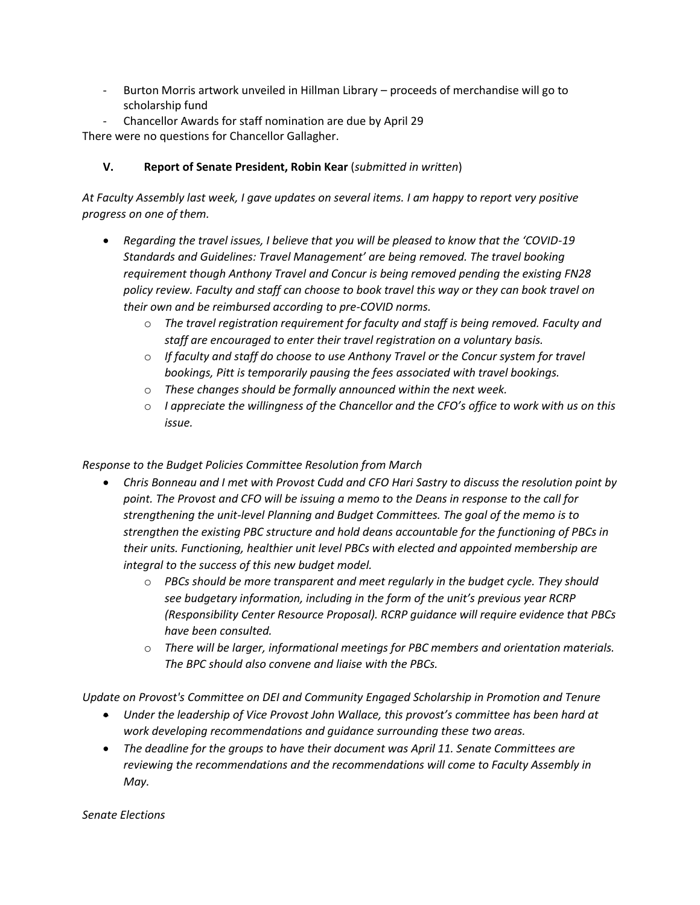- Burton Morris artwork unveiled in Hillman Library proceeds of merchandise will go to scholarship fund
- Chancellor Awards for staff nomination are due by April 29

There were no questions for Chancellor Gallagher.

# **V. Report of Senate President, Robin Kear** (*submitted in written*)

*At Faculty Assembly last week, I gave updates on several items. I am happy to report very positive progress on one of them.* 

- *Regarding the travel issues, I believe that you will be pleased to know that the 'COVID-19 Standards and Guidelines: Travel Management' are being removed. The travel booking requirement though Anthony Travel and Concur is being removed pending the existing FN28 policy review. Faculty and staff can choose to book travel this way or they can book travel on their own and be reimbursed according to pre-COVID norms.* 
	- o *The travel registration requirement for faculty and staff is being removed. Faculty and staff are encouraged to enter their travel registration on a voluntary basis.*
	- o *If faculty and staff do choose to use Anthony Travel or the Concur system for travel bookings, Pitt is temporarily pausing the fees associated with travel bookings.*
	- o *These changes should be formally announced within the next week.*
	- o *I appreciate the willingness of the Chancellor and the CFO's office to work with us on this issue.*

# *Response to the Budget Policies Committee Resolution from March*

- *Chris Bonneau and I met with Provost Cudd and CFO Hari Sastry to discuss the resolution point by point. The Provost and CFO will be issuing a memo to the Deans in response to the call for strengthening the unit-level Planning and Budget Committees. The goal of the memo is to strengthen the existing PBC structure and hold deans accountable for the functioning of PBCs in their units. Functioning, healthier unit level PBCs with elected and appointed membership are integral to the success of this new budget model.*
	- o *PBCs should be more transparent and meet regularly in the budget cycle. They should see budgetary information, including in the form of the unit's previous year RCRP (Responsibility Center Resource Proposal). RCRP guidance will require evidence that PBCs have been consulted.*
	- o *There will be larger, informational meetings for PBC members and orientation materials. The BPC should also convene and liaise with the PBCs.*

*Update on Provost's Committee on DEI and Community Engaged Scholarship in Promotion and Tenure*

- *Under the leadership of Vice Provost John Wallace, this provost's committee has been hard at work developing recommendations and guidance surrounding these two areas.*
- *The deadline for the groups to have their document was April 11. Senate Committees are reviewing the recommendations and the recommendations will come to Faculty Assembly in May.*

*Senate Elections*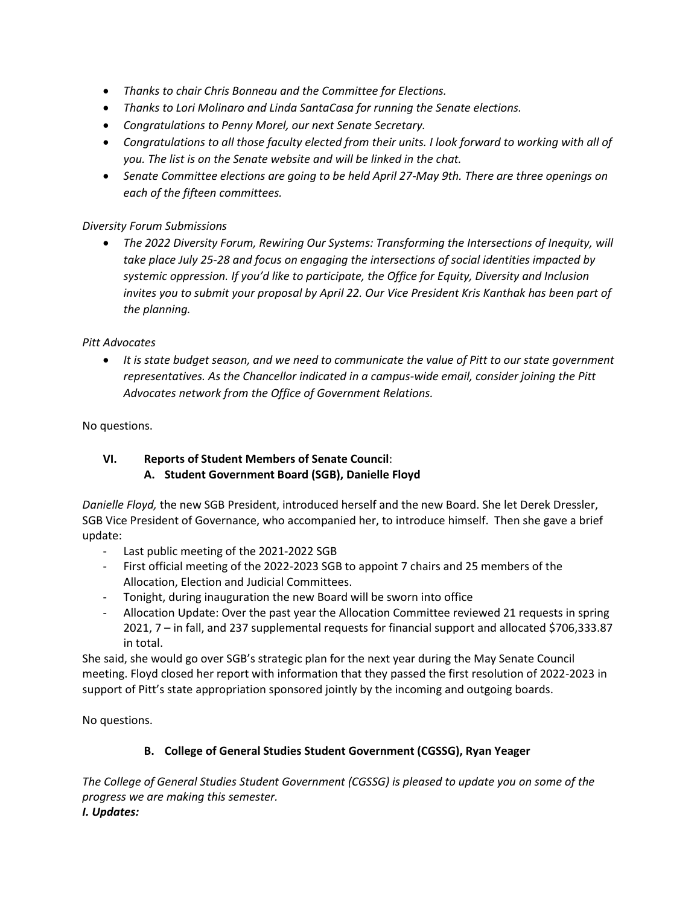- *Thanks to chair Chris Bonneau and the Committee for Elections.*
- *Thanks to Lori Molinaro and Linda SantaCasa for running the Senate elections.*
- *Congratulations to Penny Morel, our next Senate Secretary.*
- *Congratulations to all those faculty elected from their units. I look forward to working with all of you. The list is on the Senate website and will be linked in the chat.*
- *Senate Committee elections are going to be held April 27-May 9th. There are three openings on each of the fifteen committees.*

#### *Diversity Forum Submissions*

• *The 2022 Diversity Forum, Rewiring Our Systems: Transforming the Intersections of Inequity, will take place July 25-28 and focus on engaging the intersections of social identities impacted by systemic oppression. If you'd like to participate, the Office for Equity, Diversity and Inclusion invites you to submit your proposal by April 22. Our Vice President Kris Kanthak has been part of the planning.* 

#### *Pitt Advocates*

• *It is state budget season, and we need to communicate the value of Pitt to our state government representatives. As the Chancellor indicated in a campus-wide email, consider joining the Pitt Advocates network from the Office of Government Relations.*

#### No questions.

# **VI. Reports of Student Members of Senate Council**:  **A. Student Government Board (SGB), Danielle Floyd**

*Danielle Floyd,* the new SGB President, introduced herself and the new Board. She let Derek Dressler, SGB Vice President of Governance, who accompanied her, to introduce himself. Then she gave a brief update:

- Last public meeting of the 2021-2022 SGB
- First official meeting of the 2022-2023 SGB to appoint 7 chairs and 25 members of the Allocation, Election and Judicial Committees.
- Tonight, during inauguration the new Board will be sworn into office
- Allocation Update: Over the past year the Allocation Committee reviewed 21 requests in spring 2021, 7 – in fall, and 237 supplemental requests for financial support and allocated \$706,333.87 in total.

She said, she would go over SGB's strategic plan for the next year during the May Senate Council meeting. Floyd closed her report with information that they passed the first resolution of 2022-2023 in support of Pitt's state appropriation sponsored jointly by the incoming and outgoing boards.

No questions.

# **B. College of General Studies Student Government (CGSSG), Ryan Yeager**

*The College of General Studies Student Government (CGSSG) is pleased to update you on some of the progress we are making this semester. I. Updates:*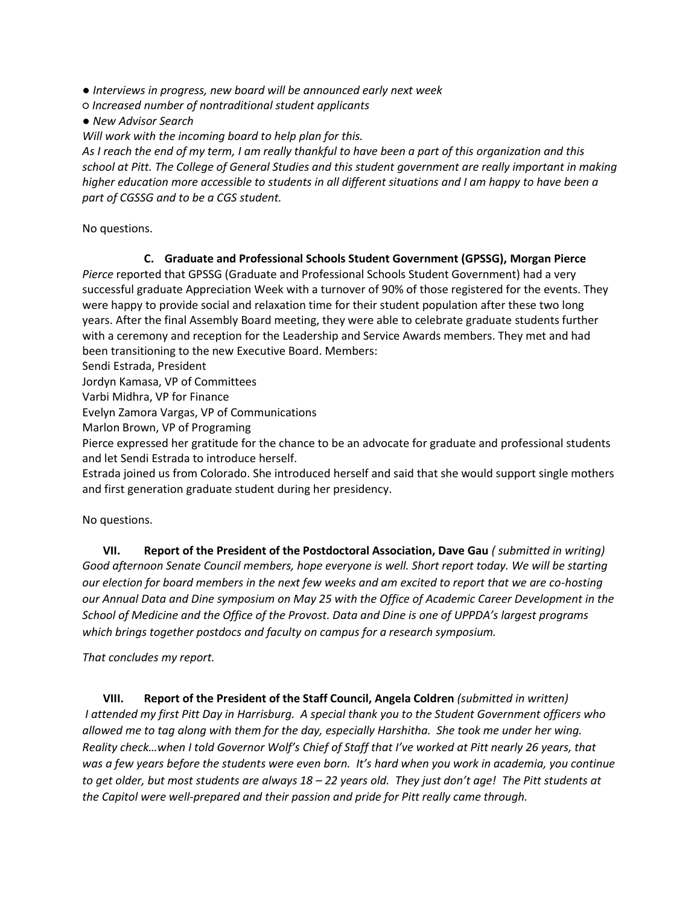*● Interviews in progress, new board will be announced early next week*

*○ Increased number of nontraditional student applicants*

*● New Advisor Search*

*Will work with the incoming board to help plan for this.*

*As I reach the end of my term, I am really thankful to have been a part of this organization and this school at Pitt. The College of General Studies and this student government are really important in making higher education more accessible to students in all different situations and I am happy to have been a part of CGSSG and to be a CGS student.*

No questions.

# **C. Graduate and Professional Schools Student Government (GPSSG), Morgan Pierce**

*Pierce* reported that GPSSG (Graduate and Professional Schools Student Government) had a very successful graduate Appreciation Week with a turnover of 90% of those registered for the events. They were happy to provide social and relaxation time for their student population after these two long years. After the final Assembly Board meeting, they were able to celebrate graduate students further with a ceremony and reception for the Leadership and Service Awards members. They met and had been transitioning to the new Executive Board. Members:

Sendi Estrada, President

Jordyn Kamasa, VP of Committees

Varbi Midhra, VP for Finance

Evelyn Zamora Vargas, VP of Communications

Marlon Brown, VP of Programing

Pierce expressed her gratitude for the chance to be an advocate for graduate and professional students and let Sendi Estrada to introduce herself.

Estrada joined us from Colorado. She introduced herself and said that she would support single mothers and first generation graduate student during her presidency.

No questions.

**VII. Report of the President of the Postdoctoral Association, Dave Gau** *( submitted in writing) Good afternoon Senate Council members, hope everyone is well. Short report today. We will be starting our election for board members in the next few weeks and am excited to report that we are co-hosting our Annual Data and Dine symposium on May 25 with the Office of Academic Career Development in the School of Medicine and the Office of the Provost. Data and Dine is one of UPPDA's largest programs which brings together postdocs and faculty on campus for a research symposium.* 

*That concludes my report.*

**VIII. Report of the President of the Staff Council, Angela Coldren** *(submitted in written) I attended my first Pitt Day in Harrisburg. A special thank you to the Student Government officers who allowed me to tag along with them for the day, especially Harshitha. She took me under her wing. Reality check…when I told Governor Wolf's Chief of Staff that I've worked at Pitt nearly 26 years, that was a few years before the students were even born. It's hard when you work in academia, you continue to get older, but most students are always 18 – 22 years old. They just don't age! The Pitt students at the Capitol were well-prepared and their passion and pride for Pitt really came through.*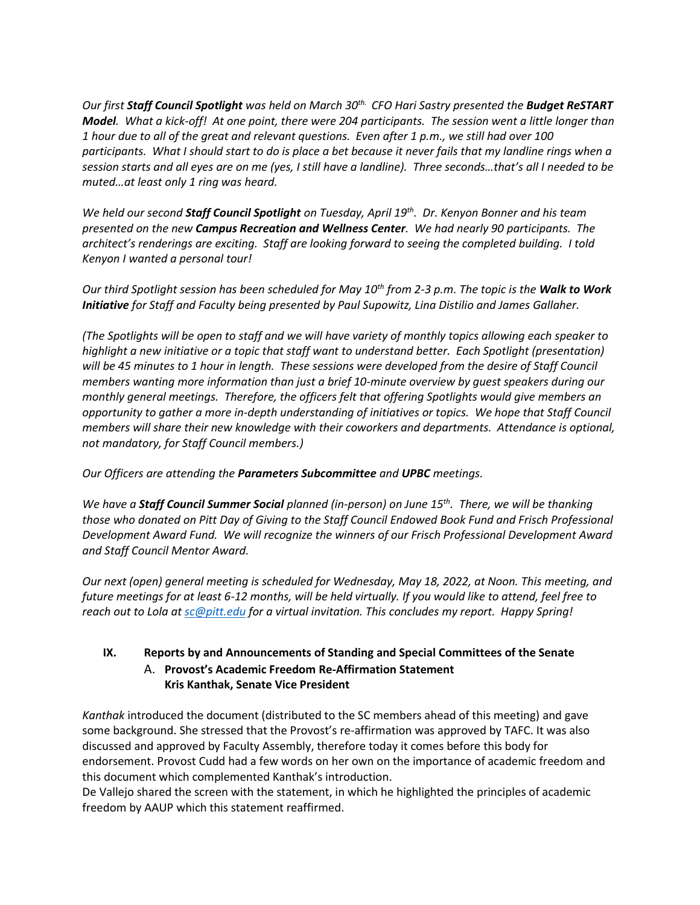*Our first Staff Council Spotlight was held on March 30th. CFO Hari Sastry presented the Budget ReSTART Model. What a kick-off! At one point, there were 204 participants. The session went a little longer than 1 hour due to all of the great and relevant questions. Even after 1 p.m., we still had over 100 participants. What I should start to do is place a bet because it never fails that my landline rings when a session starts and all eyes are on me (yes, I still have a landline). Three seconds…that's all I needed to be muted…at least only 1 ring was heard.* 

*We held our second Staff Council Spotlight on Tuesday, April 19th. Dr. Kenyon Bonner and his team presented on the new Campus Recreation and Wellness Center. We had nearly 90 participants. The architect's renderings are exciting. Staff are looking forward to seeing the completed building. I told Kenyon I wanted a personal tour!* 

*Our third Spotlight session has been scheduled for May 10th from 2-3 p.m. The topic is the Walk to Work Initiative for Staff and Faculty being presented by Paul Supowitz, Lina Distilio and James Gallaher.* 

*(The Spotlights will be open to staff and we will have variety of monthly topics allowing each speaker to highlight a new initiative or a topic that staff want to understand better. Each Spotlight (presentation) will be 45 minutes to 1 hour in length. These sessions were developed from the desire of Staff Council members wanting more information than just a brief 10-minute overview by guest speakers during our monthly general meetings. Therefore, the officers felt that offering Spotlights would give members an opportunity to gather a more in-depth understanding of initiatives or topics. We hope that Staff Council members will share their new knowledge with their coworkers and departments. Attendance is optional, not mandatory, for Staff Council members.)* 

*Our Officers are attending the Parameters Subcommittee and UPBC meetings.* 

*We have a Staff Council Summer Social planned (in-person) on June 15th. There, we will be thanking those who donated on Pitt Day of Giving to the Staff Council Endowed Book Fund and Frisch Professional Development Award Fund. We will recognize the winners of our Frisch Professional Development Award and Staff Council Mentor Award.* 

*Our next (open) general meeting is scheduled for Wednesday, May 18, 2022, at Noon. This meeting, and future meetings for at least 6-12 months, will be held virtually. If you would like to attend, feel free to reach out to Lola a[t sc@pitt.edu](mailto:sc@pitt.edu) for a virtual invitation. This concludes my report. Happy Spring!*

# **IX. Reports by and Announcements of Standing and Special Committees of the Senate** A. **Provost's Academic Freedom Re-Affirmation Statement Kris Kanthak, Senate Vice President**

*Kanthak* introduced the document (distributed to the SC members ahead of this meeting) and gave some background. She stressed that the Provost's re-affirmation was approved by TAFC. It was also discussed and approved by Faculty Assembly, therefore today it comes before this body for endorsement. Provost Cudd had a few words on her own on the importance of academic freedom and this document which complemented Kanthak's introduction.

De Vallejo shared the screen with the statement, in which he highlighted the principles of academic freedom by AAUP which this statement reaffirmed.